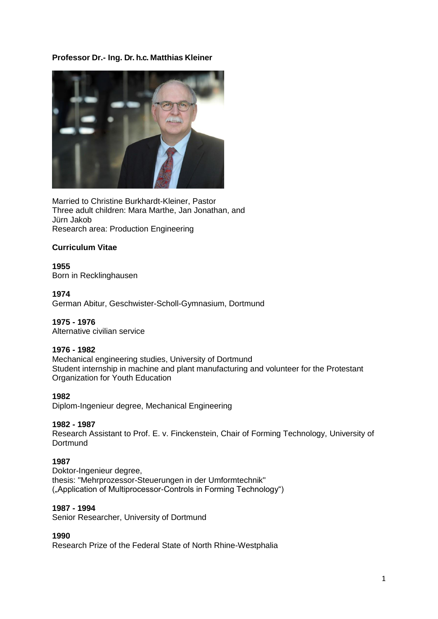### **Professor Dr.- Ing. Dr. h.c. Matthias Kleiner**



Married to Christine Burkhardt-Kleiner, Pastor Three adult children: Mara Marthe, Jan Jonathan, and Jürn Jakob Research area: Production Engineering

### **Curriculum Vitae**

**1955** Born in Recklinghausen

#### **1974**

German Abitur, Geschwister-Scholl-Gymnasium, Dortmund

### **1975 - 1976**

Alternative civilian service

### **1976 - 1982**

Mechanical engineering studies, University of Dortmund Student internship in machine and plant manufacturing and volunteer for the Protestant Organization for Youth Education

#### **1982**

Diplom-Ingenieur degree, Mechanical Engineering

#### **1982 - 1987**

Research Assistant to Prof. E. v. Finckenstein, Chair of Forming Technology, University of **Dortmund** 

#### **1987**

Doktor-Ingenieur degree, thesis: "Mehrprozessor-Steuerungen in der Umformtechnik" ("Application of Multiprocessor-Controls in Forming Technology")

#### **1987 - 1994**

Senior Researcher, University of Dortmund

### **1990**

Research Prize of the Federal State of North Rhine-Westphalia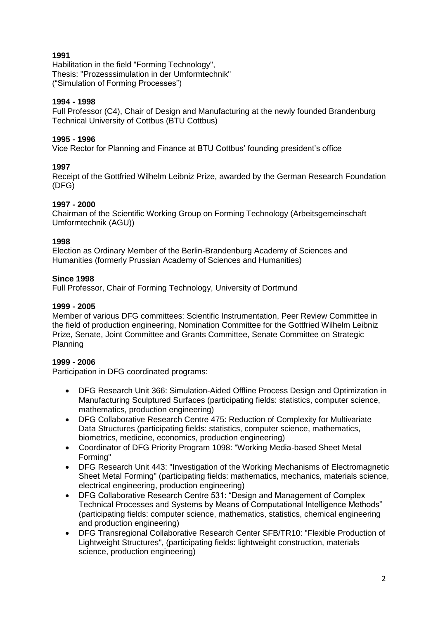# **1991**

Habilitation in the field "Forming Technology", Thesis: "Prozesssimulation in der Umformtechnik" ("Simulation of Forming Processes")

# **1994 - 1998**

Full Professor (C4), Chair of Design and Manufacturing at the newly founded Brandenburg Technical University of Cottbus (BTU Cottbus)

# **1995 - 1996**

Vice Rector for Planning and Finance at BTU Cottbus' founding president's office

# **1997**

Receipt of the Gottfried Wilhelm Leibniz Prize, awarded by the German Research Foundation (DFG)

# **1997 - 2000**

Chairman of the Scientific Working Group on Forming Technology (Arbeitsgemeinschaft Umformtechnik (AGU))

### **1998**

Election as Ordinary Member of the Berlin-Brandenburg Academy of Sciences and Humanities (formerly Prussian Academy of Sciences and Humanities)

# **Since 1998**

Full Professor, Chair of Forming Technology, University of Dortmund

### **1999 - 2005**

Member of various DFG committees: Scientific Instrumentation, Peer Review Committee in the field of production engineering, Nomination Committee for the Gottfried Wilhelm Leibniz Prize, Senate, Joint Committee and Grants Committee, Senate Committee on Strategic Planning

# **1999 - 2006**

Participation in DFG coordinated programs:

- DFG Research Unit 366: Simulation-Aided Offline Process Design and Optimization in Manufacturing Sculptured Surfaces (participating fields: statistics, computer science, mathematics, production engineering)
- DFG Collaborative Research Centre 475: Reduction of Complexity for Multivariate Data Structures (participating fields: statistics, computer science, mathematics, biometrics, medicine, economics, production engineering)
- Coordinator of DFG Priority Program 1098: "Working Media-based Sheet Metal Forming"
- DFG Research Unit 443: "Investigation of the Working Mechanisms of Electromagnetic Sheet Metal Forming" (participating fields: mathematics, mechanics, materials science, electrical engineering, production engineering)
- DFG Collaborative Research Centre 531: "Design and Management of Complex Technical Processes and Systems by Means of Computational Intelligence Methods" (participating fields: computer science, mathematics, statistics, chemical engineering and production engineering)
- DFG Transregional Collaborative Research Center SFB/TR10: "Flexible Production of Lightweight Structures", (participating fields: lightweight construction, materials science, production engineering)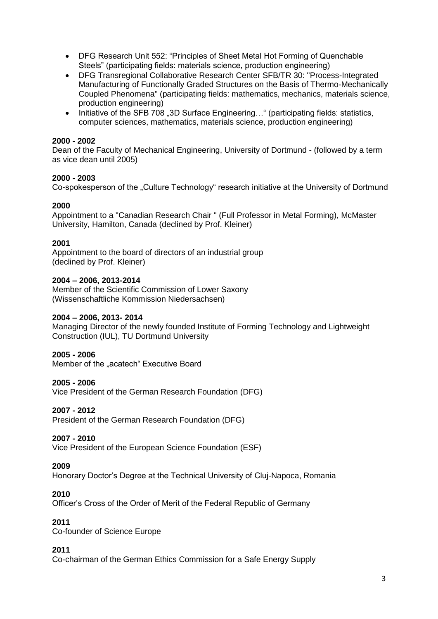- DFG Research Unit 552: "Principles of Sheet Metal Hot Forming of Quenchable Steels" (participating fields: materials science, production engineering)
- DFG Transregional Collaborative Research Center SFB/TR 30: "Process-Integrated Manufacturing of Functionally Graded Structures on the Basis of Thermo-Mechanically Coupled Phenomena" (participating fields: mathematics, mechanics, materials science, production engineering)
- Initiative of the SFB 708 "3D Surface Engineering..." (participating fields: statistics, computer sciences, mathematics, materials science, production engineering)

# **2000 - 2002**

Dean of the Faculty of Mechanical Engineering, University of Dortmund - (followed by a term as vice dean until 2005)

### **2000 - 2003**

Co-spokesperson of the "Culture Technology" research initiative at the University of Dortmund

### **2000**

Appointment to a "Canadian Research Chair " (Full Professor in Metal Forming), McMaster University, Hamilton, Canada (declined by Prof. Kleiner)

# **2001**

Appointment to the board of directors of an industrial group (declined by Prof. Kleiner)

### **2004 – 2006, 2013-2014**

Member of the Scientific Commission of Lower Saxony (Wissenschaftliche Kommission Niedersachsen)

### **2004 – 2006, 2013- 2014**

Managing Director of the newly founded Institute of Forming Technology and Lightweight Construction (IUL), TU Dortmund University

### **2005 - 2006**

Member of the "acatech" Executive Board

### **2005 - 2006**

Vice President of the German Research Foundation (DFG)

### **2007 - 2012**

President of the German Research Foundation (DFG)

### **2007 - 2010**

Vice President of the European Science Foundation (ESF)

### **2009**

Honorary Doctor's Degree at the Technical University of Cluj-Napoca, Romania

### **2010**

Officer's Cross of the Order of Merit of the Federal Republic of Germany

### **2011**

Co-founder of Science Europe

### **2011**

Co-chairman of the German Ethics Commission for a Safe Energy Supply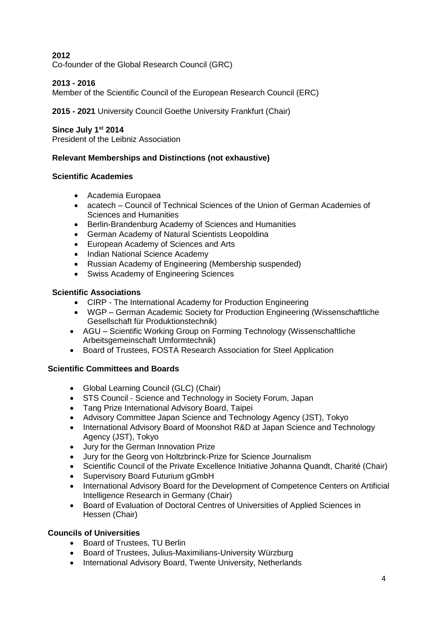# **2012**

Co-founder of the Global Research Council (GRC)

# **2013 - 2016**

Member of the Scientific Council of the European Research Council (ERC)

**2015 - 2021** University Council Goethe University Frankfurt (Chair)

# **Since July 1st 2014**

President of the Leibniz Association

# **Relevant Memberships and Distinctions (not exhaustive)**

# **Scientific Academies**

- Academia Europaea
- acatech Council of Technical Sciences of the Union of German Academies of Sciences and Humanities
- Berlin-Brandenburg Academy of Sciences and Humanities
- German Academy of Natural Scientists Leopoldina
- European Academy of Sciences and Arts
- Indian National Science Academy
- Russian Academy of Engineering (Membership suspended)
- Swiss Academy of Engineering Sciences

# **Scientific Associations**

- CIRP The International Academy for Production Engineering
- WGP German Academic Society for Production Engineering (Wissenschaftliche Gesellschaft für Produktionstechnik)
- AGU Scientific Working Group on Forming Technology (Wissenschaftliche Arbeitsgemeinschaft Umformtechnik)
- Board of Trustees, FOSTA Research Association for Steel Application

# **Scientific Committees and Boards**

- Global Learning Council (GLC) (Chair)
- STS Council Science and Technology in Society Forum, Japan
- Tang Prize International Advisory Board, Taipei
- Advisory Committee Japan Science and Technology Agency (JST), Tokyo
- International Advisory Board of Moonshot R&D at Japan Science and Technology Agency (JST), Tokyo
- Jury for the German Innovation Prize
- Jury for the Georg von Holtzbrinck-Prize for Science Journalism
- Scientific Council of the Private Excellence Initiative Johanna Quandt, Charité (Chair)
- Supervisory Board Futurium gGmbH
- International Advisory Board for the Development of Competence Centers on Artificial Intelligence Research in Germany (Chair)
- Board of Evaluation of Doctoral Centres of Universities of Applied Sciences in Hessen (Chair)

### **Councils of Universities**

- Board of Trustees, TU Berlin
- Board of Trustees, Julius-Maximilians-University Würzburg
- International Advisory Board, Twente University, Netherlands